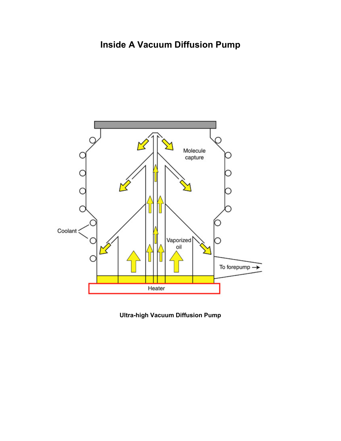

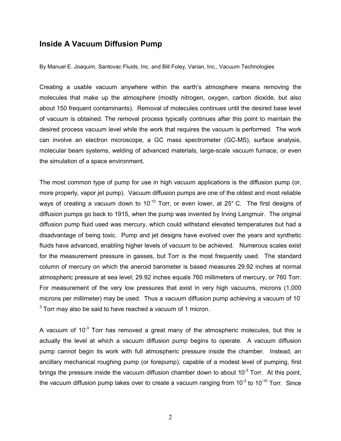## **Inside A Vacuum Diffusion Pump**

By Manuel E. Joaquim, Santovac Fluids, Inc. and Bill Foley, Varian, Inc., Vacuum Technologies

Creating a usable vacuum anywhere within the earth's atmosphere means removing the molecules that make up the atmosphere (mostly nitrogen, oxygen, carbon dioxide, but also about 150 frequent contaminants). Removal of molecules continues until the desired base level of vacuum is obtained. The removal process typically continues after this point to maintain the desired process vacuum level while the work that requires the vacuum is performed. The work can involve an electron microscope, a GC mass spectrometer (GC-MS), surface analysis, molecular beam systems, welding of advanced materials, large-scale vacuum furnace, or even the simulation of a space environment.

The most common type of pump for use in high vacuum applications is the diffusion pump (or, more properly, vapor jet pump). Vacuum diffusion pumps are one of the oldest and most reliable ways of creating a vacuum down to  $10^{-10}$  Torr, or even lower, at 25 $^{\circ}$  C. The first designs of diffusion pumps go back to 1915, when the pump was invented by Irving Langmuir. The original diffusion pump fluid used was mercury, which could withstand elevated temperatures but had a disadvantage of being toxic. Pump and jet designs have evolved over the years and synthetic fluids have advanced, enabling higher levels of vacuum to be achieved. Numerous scales exist for the measurement pressure in gasses, but Torr is the most frequently used. The standard column of mercury on which the aneroid barometer is based measures 29.92 inches at normal atmospheric pressure at sea level; 29.92 inches equals 760 millimeters of mercury, or 760 Torr. For measurement of the very low pressures that exist in very high vacuums, microns (1,000 microns per millimeter) may be used. Thus a vacuum diffusion pump achieving a vacuum of 10-  $3$  Torr may also be said to have reached a vacuum of 1 micron.

A vacuum of  $10^{-3}$  Torr has removed a great many of the atmospheric molecules, but this is actually the level at which a vacuum diffusion pump begins to operate. A vacuum diffusion pump cannot begin its work with full atmospheric pressure inside the chamber. Instead, an ancillary mechanical roughing pump (or forepump), capable of a modest level of pumping, first brings the pressure inside the vacuum diffusion chamber down to about  $10^{-3}$  Torr. At this point, the vacuum diffusion pump takes over to create a vacuum ranging from  $10^{-3}$  to  $10^{-10}$  Torr. Since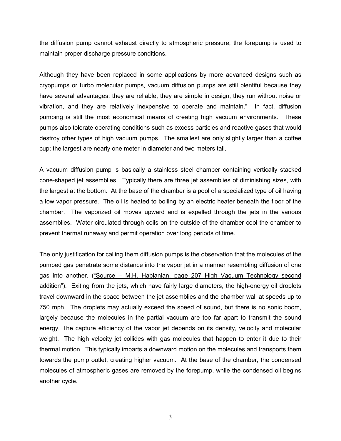the diffusion pump cannot exhaust directly to atmospheric pressure, the forepump is used to maintain proper discharge pressure conditions.

Although they have been replaced in some applications by more advanced designs such as cryopumps or turbo molecular pumps, vacuum diffusion pumps are still plentiful because they have several advantages: they are reliable, they are simple in design, they run without noise or vibration, and they are relatively inexpensive to operate and maintain." In fact, diffusion pumping is still the most economical means of creating high vacuum environments. These pumps also tolerate operating conditions such as excess particles and reactive gases that would destroy other types of high vacuum pumps. The smallest are only slightly larger than a coffee cup; the largest are nearly one meter in diameter and two meters tall.

A vacuum diffusion pump is basically a stainless steel chamber containing vertically stacked cone-shaped jet assemblies. Typically there are three jet assemblies of diminishing sizes, with the largest at the bottom. At the base of the chamber is a pool of a specialized type of oil having a low vapor pressure. The oil is heated to boiling by an electric heater beneath the floor of the chamber. The vaporized oil moves upward and is expelled through the jets in the various assemblies. Water circulated through coils on the outside of the chamber cool the chamber to prevent thermal runaway and permit operation over long periods of time.

The only justification for calling them diffusion pumps is the observation that the molecules of the pumped gas penetrate some distance into the vapor jet in a manner resembling diffusion of one gas into another. ("Source – M.H. Hablanian, page 207 High Vacuum Technology second addition"). Exiting from the jets, which have fairly large diameters, the high-energy oil droplets travel downward in the space between the jet assemblies and the chamber wall at speeds up to 750 mph. The droplets may actually exceed the speed of sound, but there is no sonic boom, largely because the molecules in the partial vacuum are too far apart to transmit the sound energy. The capture efficiency of the vapor jet depends on its density, velocity and molecular weight. The high velocity jet collides with gas molecules that happen to enter it due to their thermal motion. This typically imparts a downward motion on the molecules and transports them towards the pump outlet, creating higher vacuum. At the base of the chamber, the condensed molecules of atmospheric gases are removed by the forepump, while the condensed oil begins another cycle.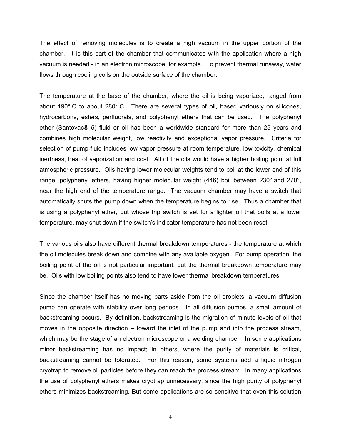The effect of removing molecules is to create a high vacuum in the upper portion of the chamber. It is this part of the chamber that communicates with the application where a high vacuum is needed - in an electron microscope, for example. To prevent thermal runaway, water flows through cooling coils on the outside surface of the chamber.

The temperature at the base of the chamber, where the oil is being vaporized, ranged from about 190° C to about 280° C. There are several types of oil, based variously on silicones, hydrocarbons, esters, perfluorals, and polyphenyl ethers that can be used. The polyphenyl ether (Santovac® 5) fluid or oil has been a worldwide standard for more than 25 years and combines high molecular weight, low reactivity and exceptional vapor pressure. Criteria for selection of pump fluid includes low vapor pressure at room temperature, low toxicity, chemical inertness, heat of vaporization and cost. All of the oils would have a higher boiling point at full atmospheric pressure. Oils having lower molecular weights tend to boil at the lower end of this range; polyphenyl ethers, having higher molecular weight (446) boil between 230° and 270°, near the high end of the temperature range. The vacuum chamber may have a switch that automatically shuts the pump down when the temperature begins to rise. Thus a chamber that is using a polyphenyl ether, but whose trip switch is set for a lighter oil that boils at a lower temperature, may shut down if the switch's indicator temperature has not been reset.

The various oils also have different thermal breakdown temperatures - the temperature at which the oil molecules break down and combine with any available oxygen. For pump operation, the boiling point of the oil is not particular important, but the thermal breakdown temperature may be. Oils with low boiling points also tend to have lower thermal breakdown temperatures.

Since the chamber itself has no moving parts aside from the oil droplets, a vacuum diffusion pump can operate with stability over long periods. In all diffusion pumps, a small amount of backstreaming occurs. By definition, backstreaming is the migration of minute levels of oil that moves in the opposite direction – toward the inlet of the pump and into the process stream, which may be the stage of an electron microscope or a welding chamber. In some applications minor backstreaming has no impact; in others, where the purity of materials is critical, backstreaming cannot be tolerated. For this reason, some systems add a liquid nitrogen cryotrap to remove oil particles before they can reach the process stream. In many applications the use of polyphenyl ethers makes cryotrap unnecessary, since the high purity of polyphenyl ethers minimizes backstreaming. But some applications are so sensitive that even this solution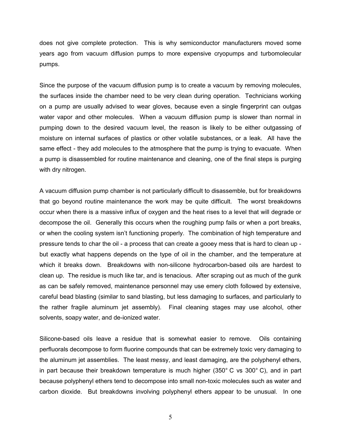does not give complete protection. This is why semiconductor manufacturers moved some years ago from vacuum diffusion pumps to more expensive cryopumps and turbomolecular pumps.

Since the purpose of the vacuum diffusion pump is to create a vacuum by removing molecules, the surfaces inside the chamber need to be very clean during operation. Technicians working on a pump are usually advised to wear gloves, because even a single fingerprint can outgas water vapor and other molecules. When a vacuum diffusion pump is slower than normal in pumping down to the desired vacuum level, the reason is likely to be either outgassing of moisture on internal surfaces of plastics or other volatile substances, or a leak. All have the same effect - they add molecules to the atmosphere that the pump is trying to evacuate. When a pump is disassembled for routine maintenance and cleaning, one of the final steps is purging with dry nitrogen.

A vacuum diffusion pump chamber is not particularly difficult to disassemble, but for breakdowns that go beyond routine maintenance the work may be quite difficult. The worst breakdowns occur when there is a massive influx of oxygen and the heat rises to a level that will degrade or decompose the oil. Generally this occurs when the roughing pump fails or when a port breaks, or when the cooling system isn't functioning properly. The combination of high temperature and pressure tends to char the oil - a process that can create a gooey mess that is hard to clean up but exactly what happens depends on the type of oil in the chamber, and the temperature at which it breaks down. Breakdowns with non-silicone hydrocarbon-based oils are hardest to clean up. The residue is much like tar, and is tenacious. After scraping out as much of the gunk as can be safely removed, maintenance personnel may use emery cloth followed by extensive, careful bead blasting (similar to sand blasting, but less damaging to surfaces, and particularly to the rather fragile aluminum jet assembly). Final cleaning stages may use alcohol, other solvents, soapy water, and de-ionized water.

Silicone-based oils leave a residue that is somewhat easier to remove. Oils containing perfluorals decompose to form fluorine compounds that can be extremely toxic very damaging to the aluminum jet assemblies. The least messy, and least damaging, are the polyphenyl ethers, in part because their breakdown temperature is much higher (350° C vs 300° C), and in part because polyphenyl ethers tend to decompose into small non-toxic molecules such as water and carbon dioxide. But breakdowns involving polyphenyl ethers appear to be unusual. In one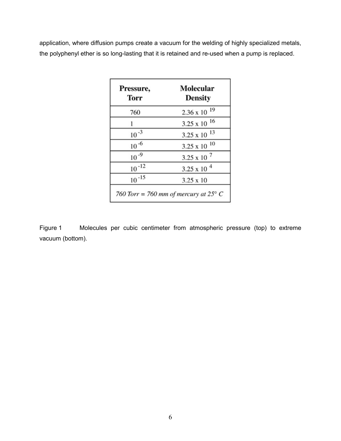application, where diffusion pumps create a vacuum for the welding of highly specialized metals, the polyphenyl ether is so long-lasting that it is retained and re-used when a pump is replaced.

| Pressure,<br><b>Torr</b> | Molecular<br><b>Density</b> |
|--------------------------|-----------------------------|
| 760                      | $2.36 \times 10^{-19}$      |
|                          | $3.25 \times 10^{-16}$      |
| $10^{-3}$                | $3.25 \times 10^{-13}$      |
| $10^{-6}$                | $3.25 \times 10^{-10}$      |
| $10^{-9}$                | $3.25 \times 10^{-7}$       |
| $10^{-12}$               | 3.25 x 10 $4$               |
| $10^{-15}$               | $3.25 \times 10$            |

Figure 1 Molecules per cubic centimeter from atmospheric pressure (top) to extreme vacuum (bottom).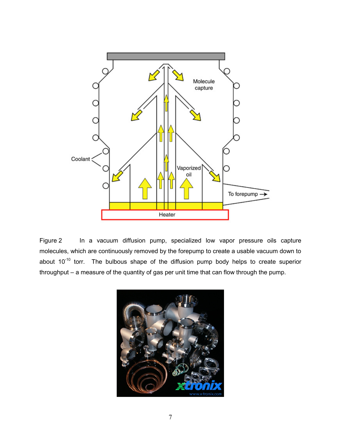

Figure 2 In a vacuum diffusion pump, specialized low vapor pressure oils capture molecules, which are continuously removed by the forepump to create a usable vacuum down to about  $10^{-10}$  torr. The bulbous shape of the diffusion pump body helps to create superior throughput – a measure of the quantity of gas per unit time that can flow through the pump.

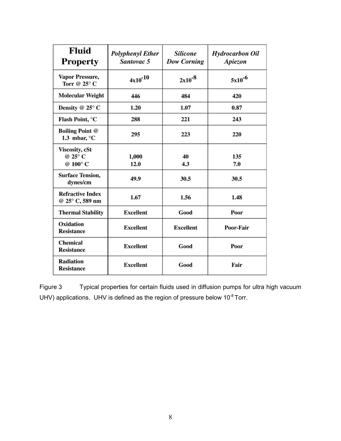| <b>Fluid</b><br><b>Property</b>                  | <b>Polyphenyl Ether</b><br>Santovac 5 | <b>Silicone</b><br><b>Dow Corning</b> | <b>Hydrocarbon Oil</b><br>Apiezon |
|--------------------------------------------------|---------------------------------------|---------------------------------------|-----------------------------------|
| Vapor Pressure,<br>Torr @ $25^{\circ}$ C         | $4x10^{-10}$                          | $2x10^{-8}$                           | $5x10^{-6}$                       |
| <b>Molecular Weight</b>                          | 446                                   | 484                                   | 420                               |
| Density @ 25° C                                  | 1.20                                  | 1.07                                  | 0.87                              |
| Flash Point, °C                                  | 288                                   | 221                                   | 243                               |
| <b>Boiling Point @</b><br>1.3 mbar, $\mathrm{C}$ | 295                                   | 223                                   | 220                               |
| Viscosity, cSt<br>@ 25° C<br>@ 100°C             | 1,000<br>12.0                         | 40<br>4.3                             | 135<br>7.0                        |
| <b>Surface Tension,</b><br>dynes/cm              | 49.9                                  | 30.5                                  | 30.5                              |
| <b>Refractive Index</b><br>@ 25° C, 589 nm       | 1.67                                  | 1.56                                  | 1.48                              |
| <b>Thermal Stability</b>                         | <b>Excellent</b>                      | Good                                  | Poor                              |
| Oxidation<br><b>Resistance</b>                   | <b>Excellent</b>                      | <b>Excellent</b>                      | Poor-Fair                         |
| <b>Chemical</b><br><b>Resistance</b>             | <b>Excellent</b>                      | Good                                  | Poor                              |
| <b>Radiation</b><br><b>Resistance</b>            | <b>Excellent</b>                      | Good                                  | Fair                              |

Figure 3 Typical properties for certain fluids used in diffusion pumps for ultra high vacuum UHV) applications. UHV is defined as the region of pressure below  $10^{-8}$  Torr.